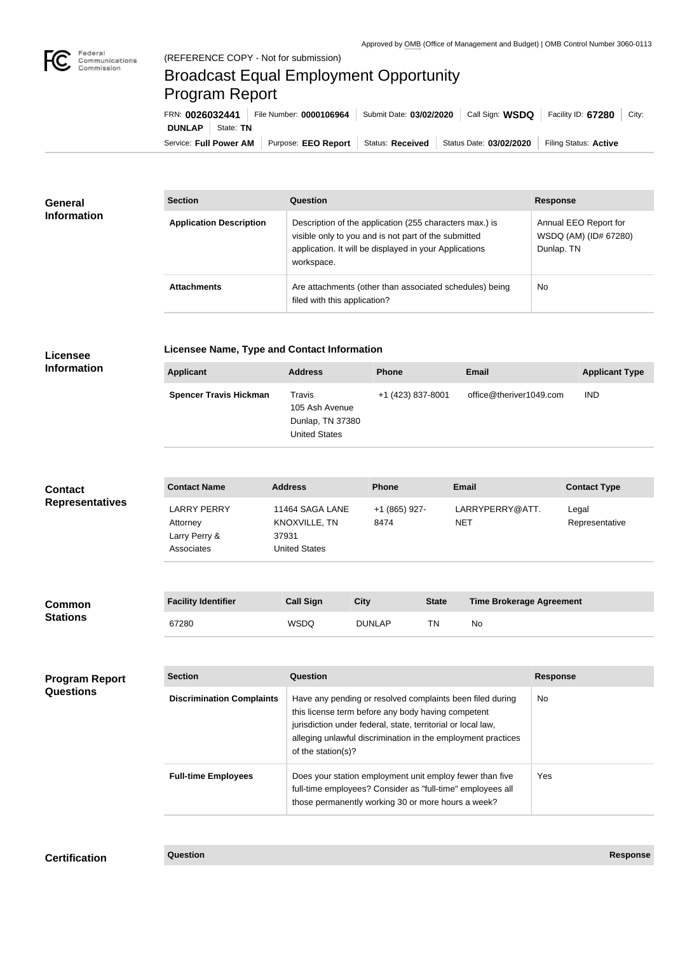

**COL** 

## Broadcast Equal Employment Opportunity Program Report

Service: Full Power AM | Purpose: EEO Report | Status: Received | Status Date: 03/02/2020 | Filing Status: Active **DUNLAP** State: TN FRN: **0026032441** File Number: **0000106964** Submit Date: **03/02/2020** Call Sign: **WSDQ** Facility ID: **67280** City:

| <b>General</b><br><b>Information</b> | <b>Section</b>                 | Question                                                                                                                                                                                | <b>Response</b>                                              |
|--------------------------------------|--------------------------------|-----------------------------------------------------------------------------------------------------------------------------------------------------------------------------------------|--------------------------------------------------------------|
|                                      | <b>Application Description</b> | Description of the application (255 characters max.) is<br>visible only to you and is not part of the submitted<br>application. It will be displayed in your Applications<br>workspace. | Annual EEO Report for<br>WSDQ (AM) (ID# 67280)<br>Dunlap. TN |
|                                      | <b>Attachments</b>             | Are attachments (other than associated schedules) being<br>filed with this application?                                                                                                 | <b>No</b>                                                    |

## **Licensee Information**

**Licensee Name, Type and Contact Information**

| <b>Applicant</b>              | <b>Address</b>                                                       | <b>Phone</b>      | <b>Email</b>            | <b>Applicant Type</b> |
|-------------------------------|----------------------------------------------------------------------|-------------------|-------------------------|-----------------------|
| <b>Spencer Travis Hickman</b> | Travis<br>105 Ash Avenue<br>Dunlap, TN 37380<br><b>United States</b> | +1 (423) 837-8001 | office@theriver1049.com | <b>IND</b>            |

| <b>Contact</b><br><b>Representatives</b> | <b>Contact Name</b>                                           | <b>Address</b>                                                    | <b>Phone</b>                                                                                                                                                                                                                                                          |              | <b>Email</b>                    | <b>Contact Type</b>     |
|------------------------------------------|---------------------------------------------------------------|-------------------------------------------------------------------|-----------------------------------------------------------------------------------------------------------------------------------------------------------------------------------------------------------------------------------------------------------------------|--------------|---------------------------------|-------------------------|
|                                          | <b>LARRY PERRY</b><br>Attorney<br>Larry Perry &<br>Associates | 11464 SAGA LANE<br>KNOXVILLE, TN<br>37931<br><b>United States</b> | +1 (865) 927-<br>8474                                                                                                                                                                                                                                                 |              | LARRYPERRY@ATT.<br><b>NET</b>   | Legal<br>Representative |
| Common<br><b>Stations</b>                | <b>Facility Identifier</b>                                    | <b>Call Sign</b>                                                  | <b>City</b>                                                                                                                                                                                                                                                           | <b>State</b> | <b>Time Brokerage Agreement</b> |                         |
|                                          | 67280                                                         | <b>WSDQ</b>                                                       | <b>DUNLAP</b>                                                                                                                                                                                                                                                         | <b>TN</b>    | No                              |                         |
| <b>Program Report</b><br>Questions       | <b>Section</b>                                                | Question                                                          |                                                                                                                                                                                                                                                                       |              |                                 | <b>Response</b>         |
|                                          | <b>Discrimination Complaints</b>                              |                                                                   | Have any pending or resolved complaints been filed during<br>this license term before any body having competent<br>jurisdiction under federal, state, territorial or local law,<br>alleging unlawful discrimination in the employment practices<br>of the station(s)? |              |                                 | <b>No</b>               |
|                                          | <b>Full-time Employees</b>                                    |                                                                   | Does your station employment unit employ fewer than five<br>full-time employees? Consider as "full-time" employees all<br>those permanently working 30 or more hours a week?                                                                                          |              |                                 | Yes                     |

**Certification Question Response**